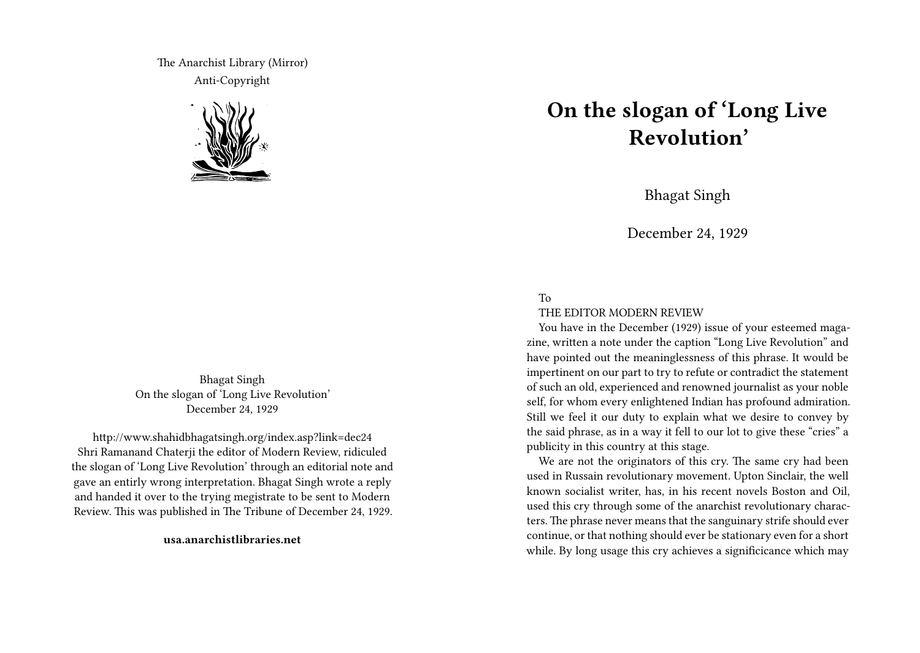The Anarchist Library (Mirror) Anti-Copyright



Bhagat Singh On the slogan of 'Long Live Revolution' December 24, 1929

http://www.shahidbhagatsingh.org/index.asp?link=dec24 Shri Ramanand Chaterji the editor of Modern Review, ridiculed the slogan of 'Long Live Revolution' through an editorial note and gave an entirly wrong interpretation. Bhagat Singh wrote a reply and handed it over to the trying megistrate to be sent to Modern Review. This was published in The Tribune of December 24, 1929.

**usa.anarchistlibraries.net**

## **On the slogan of 'Long Live Revolution'**

Bhagat Singh

December 24, 1929

To

## THE EDITOR MODERN REVIEW

You have in the December (1929) issue of your esteemed magazine, written a note under the caption "Long Live Revolution" and have pointed out the meaninglessness of this phrase. It would be impertinent on our part to try to refute or contradict the statement of such an old, experienced and renowned journalist as your noble self, for whom every enlightened Indian has profound admiration. Still we feel it our duty to explain what we desire to convey by the said phrase, as in a way it fell to our lot to give these "cries" a publicity in this country at this stage.

We are not the originators of this cry. The same cry had been used in Russain revolutionary movement. Upton Sinclair, the well known socialist writer, has, in his recent novels Boston and Oil, used this cry through some of the anarchist revolutionary characters. The phrase never means that the sanguinary strife should ever continue, or that nothing should ever be stationary even for a short while. By long usage this cry achieves a significicance which may